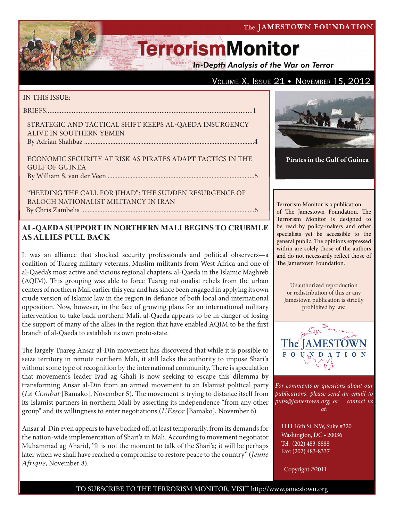### The JAMESTOWN FOUNDATION

# **TerrorismMonitor**

**In-Depth Analysis of the War on Terror** 

## VOLUME X, ISSUE  $21 \cdot$  November 15, 2012

### IN THIS ISSUE:

briefs........................................................................................................................1

### Strategic and Tactical Shift Keeps al-Qaeda Insurgency Alive in Southern Yemen By Adrian Shahbaz .......................................................................................................4

Economic Security at Risk as Pirates Adapt Tactics in the Gulf of Guinea by William S. van der Veen .........................................................................................5

## "Heeding the Call for Jihad": The Sudden Resurgence of Baloch Nationalist Militancy in Iran

By Chris Zambelis .........................................................................................................6

## **AL-QAEDA SUPPORT IN NORTHERN MALI BEGINS TO CRUBMLE AS ALLIES PULL BACK**

It was an alliance that shocked security professionals and political observers—a coalition of Tuareg military veterans, Muslim militants from West Africa and one of al-Qaeda's most active and vicious regional chapters, al-Qaeda in the Islamic Maghreb (AQIM). This grouping was able to force Tuareg nationalist rebels from the urban centers of northern Mali earlier this year and has since been engaged in applying its own crude version of Islamic law in the region in defiance of both local and international opposition. Now, however, in the face of growing plans for an international military intervention to take back northern Mali, al-Qaeda appears to be in danger of losing the support of many of the allies in the region that have enabled AQIM to be the first branch of al-Qaeda to establish its own proto-state.

The largely Tuareg Ansar al-Din movement has discovered that while it is possible to seize territory in remote northern Mali, it still lacks the authority to impose Shari'a without some type of recognition by the international community. There is speculation that movement's leader Iyad ag Ghali is now seeking to escape this dilemma by transforming Ansar al-Din from an armed movement to an Islamist political party (*Le Combat* [Bamako], November 5). The movement is trying to distance itself from its Islamist partners in northern Mali by asserting its independence "from any other group" and its willingness to enter negotiations (*L'Essor* [Bamako], November 6).

Ansar al-Din even appears to have backed off, at least temporarily, from its demands for the nation-wide implementation of Shari'a in Mali. According to movement negotiator Muhammad ag Aharid, "It is not the moment to talk of the Shari'a; it will be perhaps later when we shall have reached a compromise to restore peace to the country" (*Jeune Afrique*, November 8).



**Pirates in the Gulf of Guinea**

Terrorism Monitor is a publication of The Jamestown Foundation. The Terrorism Monitor is designed to be read by policy-makers and other specialists yet be accessible to the general public. The opinions expressed within are solely those of the authors and do not necessarily reflect those of The Jamestown Foundation.

Unauthorized reproduction or redistribution of this or any Jamestown publication is strictly prohibited by law.



*For comments or questions about our publications, please send an email to pubs@jamestown.org, or contact us at:* 

1111 16th St. NW, Suite #320 Washington, DC • 20036 Tel: (202) 483-8888 Fax: (202) 483-8337

Copyright ©2011

## TO SUBSCRIBE TO THE TERRORISM MONITOR, VISIT http://www.jamestown.org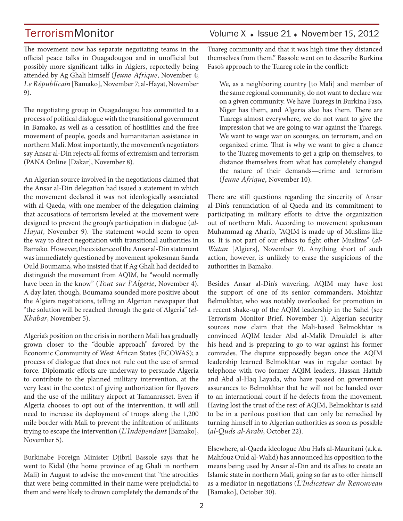The movement now has separate negotiating teams in the official peace talks in Ouagadougou and in unofficial but possibly more significant talks in Algiers, reportedly being attended by Ag Ghali himself (*Jeune Afrique*, November 4; *Le Républicain* [Bamako], November 7; al-Hayat, November 9).

The negotiating group in Ouagadougou has committed to a process of political dialogue with the transitional government in Bamako, as well as a cessation of hostilities and the free movement of people, goods and humanitarian assistance in northern Mali. Most importantly, the movement's negotiators say Ansar al-Din rejects all forms of extremism and terrorism (PANA Online [Dakar], November 8).

An Algerian source involved in the negotiations claimed that the Ansar al-Din delegation had issued a statement in which the movement declared it was not ideologically associated with al-Qaeda, with one member of the delegation claiming that accusations of terrorism leveled at the movement were designed to prevent the group's participation in dialogue (*al-Hayat*, November 9). The statement would seem to open the way to direct negotiation with transitional authorities in Bamako. However, the existence of the Ansar al-Din statement was immediately questioned by movement spokesman Sanda Ould Boumama, who insisted that if Ag Ghali had decided to distinguish the movement from AQIM, he "would normally have been in the know" (*Tout sur l'Algerie*, November 4). A day later, though, Boumama sounded more positive about the Algiers negotiations, telling an Algerian newspaper that "the solution will be reached through the gate of Algeria'' (*el-Khabar*, November 5).

Algeria's position on the crisis in northern Mali has gradually grown closer to the "double approach" favored by the Economic Community of West African States (ECOWAS); a process of dialogue that does not rule out the use of armed force. Diplomatic efforts are underway to persuade Algeria to contribute to the planned military intervention, at the very least in the context of giving authorization for flyovers and the use of the military airport at Tamanrasset. Even if Algeria chooses to opt out of the intervention, it will still need to increase its deployment of troops along the 1,200 mile border with Mali to prevent the infiltration of militants trying to escape the intervention (*L'Indépendant* [Bamako], November 5).

Burkinabe Foreign Minister Djibril Bassole says that he went to Kidal (the home province of ag Ghali in northern Mali) in August to advise the movement that "the atrocities that were being committed in their name were prejudicial to them and were likely to drown completely the demands of the Tuareg community and that it was high time they distanced themselves from them." Bassole went on to describe Burkina Faso's approach to the Tuareg role in the conflict:

We, as a neighboring country [to Mali] and member of the same regional community, do not want to declare war on a given community. We have Tuaregs in Burkina Faso, Niger has them, and Algeria also has them. There are Tuaregs almost everywhere, we do not want to give the impression that we are going to war against the Tuaregs. We want to wage war on scourges, on terrorism, and on organized crime. That is why we want to give a chance to the Tuareg movements to get a grip on themselves, to distance themselves from what has completely changed the nature of their demands—crime and terrorism (*Jeune Afrique,* November 10).

There are still questions regarding the sincerity of Ansar al-Din's renunciation of al-Qaeda and its commitment to participating in military efforts to drive the organization out of northern Mali. According to movement spokesman Muhammad ag Aharib, "AQIM is made up of Muslims like us. It is not part of our ethics to fight other Muslims" (*al-Watan* [Algiers], November 9). Anything short of such action, however, is unlikely to erase the suspicions of the authorities in Bamako.

Besides Ansar al-Din's wavering, AQIM may have lost the support of one of its senior commanders, Mokhtar Belmokhtar, who was notably overlooked for promotion in a recent shake-up of the AQIM leadership in the Sahel (see Terrorism Monitor Brief, November 1). Algerian security sources now claim that the Mali-based Belmokhtar is convinced AQIM leader Abd al-Malik Droukdel is after his head and is preparing to go to war against his former comrades. The dispute supposedly began once the AQIM leadership learned Belmokhtar was in regular contact by telephone with two former AQIM leaders, Hassan Hattab and Abd al-Haq Layada, who have passed on government assurances to Belmokhtar that he will not be handed over to an international court if he defects from the movement. Having lost the trust of the rest of AQIM, Belmokhtar is said to be in a perilous position that can only be remedied by turning himself in to Algerian authorities as soon as possible (*al-Quds al-Arabi*, October 22).

Elsewhere, al-Qaeda ideologue Abu Hafs al-Mauritani (a.k.a. Mahfouz Ould al-Walid) has announced his opposition to the means being used by Ansar al-Din and its allies to create an Islamic state in northern Mali, going so far as to offer himself as a mediator in negotiations (*L'Indicateur du Renouveau*  [Bamako], October 30).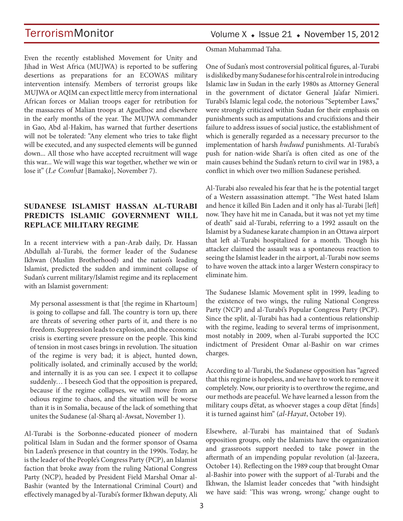Even the recently established Movement for Unity and Jihad in West Africa (MUJWA) is reported to be suffering desertions as preparations for an ECOWAS military intervention intensify. Members of terrorist groups like MUJWA or AQIM can expect little mercy from international African forces or Malian troops eager for retribution for the massacres of Malian troops at Aguelhoc and elsewhere in the early months of the year. The MUJWA commander in Gao, Abd al-Hakim, has warned that further desertions will not be tolerated: "Any element who tries to take flight will be executed, and any suspected elements will be gunned down... All those who have accepted recruitment will wage this war... We will wage this war together, whether we win or lose it" (*Le Combat* [Bamako], November 7).

## **SUDANESE ISLAMIST HASSAN AL-TURABI PREDICTS ISLAMIC GOVERNMENT WILL REPLACE MILITARY REGIME**

In a recent interview with a pan-Arab daily, Dr. Hassan Abdullah al-Turabi, the former leader of the Sudanese Ikhwan (Muslim Brotherhood) and the nation's leading Islamist, predicted the sudden and imminent collapse of Sudan's current military/Islamist regime and its replacement with an Islamist government:

My personal assessment is that [the regime in Khartoum] is going to collapse and fall. The country is torn up, there are threats of severing other parts of it, and there is no freedom. Suppression leads to explosion, and the economic crisis is exerting severe pressure on the people. This kind of tension in most cases brings in revolution. The situation of the regime is very bad; it is abject, hunted down, politically isolated, and criminally accused by the world; and internally it is as you can see. I expect it to collapse suddenly… I beseech God that the opposition is prepared, because if the regime collapses, we will move from an odious regime to chaos, and the situation will be worse than it is in Somalia, because of the lack of something that unites the Sudanese (al-Sharq al-Awsat, November 1).

Al-Turabi is the Sorbonne-educated pioneer of modern political Islam in Sudan and the former sponsor of Osama bin Laden's presence in that country in the 1990s. Today, he is the leader of the People's Congress Party (PCP), an Islamist faction that broke away from the ruling National Congress Party (NCP), headed by President Field Marshal Omar al-Bashir (wanted by the International Criminal Court) and effectively managed by al-Turabi's former Ikhwan deputy, Ali Osman Muhammad Taha.

One of Sudan's most controversial political figures, al-Turabi is disliked by many Sudanese for his central role in introducing Islamic law in Sudan in the early 1980s as Attorney General in the government of dictator General Ja'afar Nimieri. Turabi's Islamic legal code, the notorious "September Laws," were strongly criticized within Sudan for their emphasis on punishments such as amputations and crucifixions and their failure to address issues of social justice, the establishment of which is generally regarded as a necessary precursor to the implementation of harsh *huduud* punishments. Al-Turabi's push for nation-wide Shari'a is often cited as one of the main causes behind the Sudan's return to civil war in 1983, a conflict in which over two million Sudanese perished.

Al-Turabi also revealed his fear that he is the potential target of a Western assassination attempt. "The West hated Islam and hence it killed Bin Laden and it only has al-Turabi [left] now. They have hit me in Canada, but it was not yet my time of death" said al-Turabi, referring to a 1992 assault on the Islamist by a Sudanese karate champion in an Ottawa airport that left al-Turabi hospitalized for a month. Though his attacker claimed the assault was a spontaneous reaction to seeing the Islamist leader in the airport, al-Turabi now seems to have woven the attack into a larger Western conspiracy to eliminate him.

The Sudanese Islamic Movement split in 1999, leading to the existence of two wings, the ruling National Congress Party (NCP) and al-Turabi's Popular Congress Party (PCP). Since the split, al-Turabi has had a contentious relationship with the regime, leading to several terms of imprisonment, most notably in 2009, when al-Turabi supported the ICC indictment of President Omar al-Bashir on war crimes charges.

According to al-Turabi, the Sudanese opposition has "agreed that this regime is hopeless, and we have to work to remove it completely. Now, our priority is to overthrow the regime, and our methods are peaceful. We have learned a lesson from the military coups d'état, as whoever stages a coup d'état [finds] it is turned against him" (*al-Hayat*, October 19).

Elsewhere, al-Turabi has maintained that of Sudan's opposition groups, only the Islamists have the organization and grassroots support needed to take power in the aftermath of an impending popular revolution (al-Jazeera, October 14). Reflecting on the 1989 coup that brought Omar al-Bashir into power with the support of al-Turabi and the Ikhwan, the Islamist leader concedes that "with hindsight we have said: 'This was wrong, wrong;' change ought to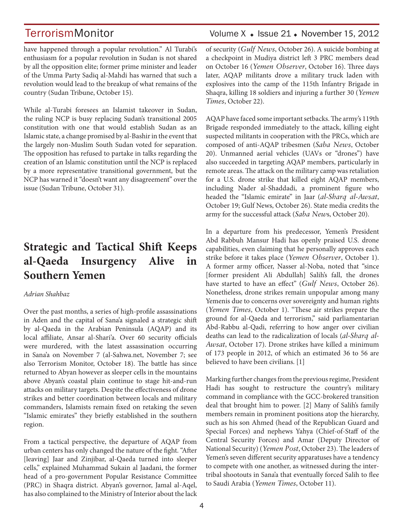have happened through a popular revolution." Al Turabi's enthusiasm for a popular revolution in Sudan is not shared by all the opposition elite; former prime minister and leader of the Umma Party Sadiq al-Mahdi has warned that such a revolution would lead to the breakup of what remains of the country (Sudan Tribune, October 15).

While al-Turabi foresees an Islamist takeover in Sudan, the ruling NCP is busy replacing Sudan's transitional 2005 constitution with one that would establish Sudan as an Islamic state, a change promised by al-Bashir in the event that the largely non-Muslim South Sudan voted for separation. The opposition has refused to partake in talks regarding the creation of an Islamic constitution until the NCP is replaced by a more representative transitional government, but the NCP has warned it "doesn't want any disagreement" over the issue (Sudan Tribune, October 31).

## **Strategic and Tactical Shift Keeps al-Qaeda Insurgency Alive in Southern Yemen**

### *Adrian Shahbaz*

Over the past months, a series of high-profile assassinations in Aden and the capital of Sana'a signaled a strategic shift by al-Qaeda in the Arabian Peninsula (AQAP) and its local affiliate, Ansar al-Shari'a. Over 60 security officials were murdered, with the latest assassination occurring in Sana'a on November 7 (al-Sahwa.net, November 7; see also Terrorism Monitor, October 18). The battle has since returned to Abyan however as sleeper cells in the mountains above Abyan's coastal plain continue to stage hit-and-run attacks on military targets. Despite the effectiveness of drone strikes and better coordination between locals and military commanders, Islamists remain fixed on retaking the seven "Islamic emirates" they briefly established in the southern region.

From a tactical perspective, the departure of AQAP from urban centers has only changed the nature of the fight. "After [leaving] Jaar and Zinjibar, al-Qaeda turned into sleeper cells," explained Muhammad Sukain al Jaadani, the former head of a pro-government Popular Resistance Committee (PRC) in Shaqra district. Abyan's governor, Jamal al-Aqel, has also complained to the Ministry of Interior about the lack

## TerrorismMonitor Volume X + Issue 21 + November 15, 2012

of security (*Gulf News*, October 26). A suicide bombing at a checkpoint in Mudiya district left 3 PRC members dead on October 16 (*Yemen Observer*, October 16). Three days later, AQAP militants drove a military truck laden with explosives into the camp of the 115th Infantry Brigade in Shaqra, killing 18 soldiers and injuring a further 30 (*Yemen Times*, October 22).

AQAP have faced some important setbacks. The army's 119th Brigade responded immediately to the attack, killing eight suspected militants in cooperation with the PRCs, which are composed of anti-AQAP tribesmen (*Saba News*, October 20). Unmanned aerial vehicles (UAVs or "drones") have also succeeded in targeting AQAP members, particularly in remote areas. The attack on the military camp was retaliation for a U.S. drone strike that killed eight AQAP members, including Nader al-Shaddadi, a prominent figure who headed the "Islamic emirate" in Jaar (*al-Sharq al-Awsat*, October 19; Gulf News, October 26). State media credits the army for the successful attack (*Saba New*s, October 20).

In a departure from his predecessor, Yemen's President Abd Rabbuh Mansur Hadi has openly praised U.S. drone capabilities, even claiming that he personally approves each strike before it takes place (*Yemen Observer*, October 1). A former army officer, Nasser al-Noba, noted that "since [former president Ali Abdullah] Salih's fall, the drones have started to have an effect" (*Gulf News*, October 26). Nonetheless, drone strikes remain unpopular among many Yemenis due to concerns over sovereignty and human rights (*Yemen Times*, October 1). "These air strikes prepare the ground for al-Qaeda and terrorism," said parliamentarian Abd-Rabbu al-Qadi, referring to how anger over civilian deaths can lead to the radicalization of locals (*al-Sharq al-Awsat*, October 17). Drone strikes have killed a minimum of 173 people in 2012, of which an estimated 36 to 56 are believed to have been civilians. [1]

Marking further changes from the previous regime, President Hadi has sought to restructure the country's military command in compliance with the GCC-brokered transition deal that brought him to power. [2] Many of Salih's family members remain in prominent positions atop the hierarchy, such as his son Ahmed (head of the Republican Guard and Special Forces) and nephews Yahya (Chief-of-Staff of the Central Security Forces) and Amar (Deputy Director of National Security) (*Yemen Post*, October 23). The leaders of Yemen's seven different security apparatuses have a tendency to compete with one another, as witnessed during the intertribal shootouts in Sana'a that eventually forced Salih to flee to Saudi Arabia (*Yemen Times*, October 11).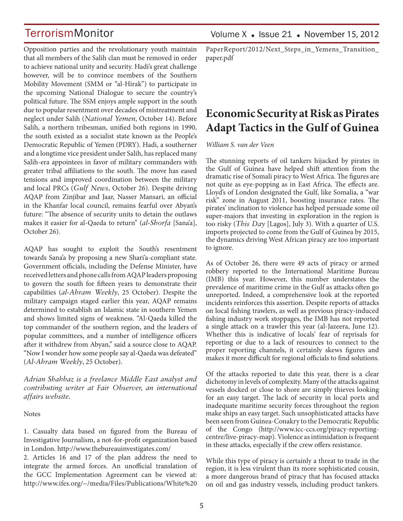Opposition parties and the revolutionary youth maintain that all members of the Salih clan must be removed in order to achieve national unity and security. Hadi's great challenge however, will be to convince members of the Southern Mobility Movement (SMM or "al-Hirak") to participate in the upcoming National Dialogue to secure the country's political future. The SSM enjoys ample support in the south due to popular resentment over decades of mistreatment and neglect under Salih (*National Yemen*, October 14). Before Salih, a northern tribesman, unified both regions in 1990, the south existed as a socialist state known as the People's Democratic Republic of Yemen (PDRY). Hadi, a southerner and a longtime vice president under Salih, has replaced many Salih-era appointees in favor of military commanders with greater tribal affiliations to the south. The move has eased tensions and improved coordination between the military and local PRCs (*Gulf News*, October 26). Despite driving AQAP from Zinjibar and Jaar, Nasser Mansari, an official in the Khanfar local council, remains fearful over Abyan's future: "The absence of security units to detain the outlaws makes it easier for al-Qaeda to return" (*al-Shorfa* [Sana'a], October 26).

AQAP has sought to exploit the South's resentment towards Sana'a by proposing a new Shari'a-compliant state. Government officials, including the Defense Minister, have received letters and phone calls from AQAP leaders proposing to govern the south for fifteen years to demonstrate their capabilities (*al-Ahram Weekly*, 25 October). Despite the military campaign staged earlier this year, AQAP remains determined to establish an Islamic state in southern Yemen and shows limited signs of weakness. "Al-Qaeda killed the top commander of the southern region, and the leaders of popular committees, and a number of intelligence officers after it withdrew from Abyan," said a source close to AQAP. "Now I wonder how some people say al-Qaeda was defeated" (*Al-Ahram Weekly*, 25 October).

*Adrian Shahbaz is a freelance Middle East analyst and contributing writer at Fair Observer, an international affairs website.*

**Notes** 

1. Casualty data based on figured from the Bureau of Investigative Journalism, a not-for-profit organization based in London. http://www.thebureauinvestigates.com/

2. Articles 16 and 17 of the plan address the need to integrate the armed forces. An unofficial translation of the GCC Implementation Agreement can be viewed at: http://www.ifes.org/~/media/Files/Publications/White%20

PaperReport/2012/Next\_Steps\_in\_Yemens\_Transition\_ paper.pdf

## **Economic Security at Risk as Pirates Adapt Tactics in the Gulf of Guinea**

*William S. van der Veen* 

The stunning reports of oil tankers hijacked by pirates in the Gulf of Guinea have helped shift attention from the dramatic rise of Somali piracy to West Africa. The figures are not quite as eye-popping as in East Africa. The effects are. Lloyd's of London designated the Gulf, like Somalia, a "war risk" zone in August 2011, boosting insurance rates. The pirates' inclination to violence has helped persuade some oil super-majors that investing in exploration in the region is too risky (*This Day* [Lagos], July 3). With a quarter of U.S. imports projected to come from the Gulf of Guinea by 2015, the dynamics driving West African piracy are too important to ignore.

As of October 26, there were 49 acts of piracy or armed robbery reported to the International Maritime Bureau (IMB) this year. However, this number understates the prevalence of maritime crime in the Gulf as attacks often go unreported. Indeed, a comprehensive look at the reported incidents reinforces this assertion. Despite reports of attacks on local fishing trawlers, as well as previous piracy-induced fishing industry work stoppages, the IMB has not reported a single attack on a trawler this year (al-Jazeera, June 12). Whether this is indicative of locals' fear of reprisals for reporting or due to a lack of resources to connect to the proper reporting channels, it certainly skews figures and makes it more difficult for regional officials to find solutions.

Of the attacks reported to date this year, there is a clear dichotomy in levels of complexity. Many of the attacks against vessels docked or close to shore are simply thieves looking for an easy target. The lack of security in local ports and inadequate maritime security forces throughout the region make ships an easy target. Such unsophisticated attacks have been seen from Guinea-Conakry to the Democratic Republic of the Congo (http://www.icc-ccs.org/piracy-reportingcentre/live-piracy-map). Violence as intimidation is frequent in these attacks, especially if the crew offers resistance.

While this type of piracy is certainly a threat to trade in the region, it is less virulent than its more sophisticated cousin, a more dangerous brand of piracy that has focused attacks on oil and gas industry vessels, including product tankers.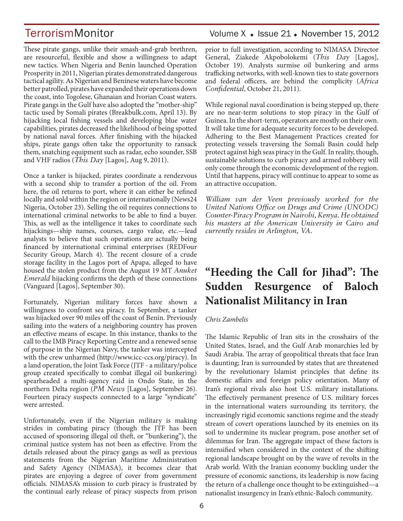These pirate gangs, unlike their smash-and-grab brethren, are resourceful, flexible and show a willingness to adapt new tactics. When Nigeria and Benin launched Operation Prosperity in 2011, Nigerian pirates demonstrated dangerous tactical agility. As Nigerian and Beninese waters have become better patrolled, pirates have expanded their operations down the coast, into Togolese, Ghanaian and Ivorian Coast waters. Pirate gangs in the Gulf have also adopted the "mother-ship" tactic used by Somali pirates (Breakbulk.com, April 13). By hijacking local fishing vessels and developing blue water capabilities, pirates decreased the likelihood of being spotted by national naval forces. After finishing with the hijacked ships, pirate gangs often take the opportunity to ransack them, snatching equipment such as radar, echo sounder, SSB and VHF radios (*This Day* [Lagos], Aug 9, 2011).

Once a tanker is hijacked, pirates coordinate a rendezvous with a second ship to transfer a portion of the oil. From here, the oil returns to port, where it can either be refined locally and sold within the region or internationally (News24 Nigeria, October 23). Selling the oil requires connections to international criminal networks to be able to find a buyer. This, as well as the intelligence it takes to coordinate such hijackings—ship names, courses, cargo value, etc.—lead analysts to believe that such operations are actually being financed by international criminal enterprises (REDFour Security Group, March 4). The recent closure of a crude storage facility in the Lagos port of Apapa, alleged to have housed the stolen product from the August 19 MT *Anuket Emerald* hijacking confirms the depth of these connections (Vanguard [Lagos], September 30).

Fortunately, Nigerian military forces have shown a willingness to confront sea piracy. In September, a tanker was hijacked over 90 miles off the coast of Benin. Previously sailing into the waters of a neighboring country has proven an effective means of escape. In this instance, thanks to the call to the IMB Piracy Reporting Centre and a renewed sense of purpose in the Nigerian Navy, the tanker was intercepted with the crew unharmed (http://www.icc-ccs.org/piracy). In a land operation, the Joint Task Force (JTF - a military/police group created specifically to combat illegal oil bunkering) spearheaded a multi-agency raid in Ondo State, in the northern Delta region (*PM News* [Lagos], September 26). Fourteen piracy suspects connected to a large "syndicate" were arrested.

Unfortunately, even if the Nigerian military is making strides in combating piracy (though the JTF has been accused of sponsoring illegal oil theft, or "bunkering"), the criminal justice system has not been as effective. From the details released about the piracy gangs as well as previous statements from the Nigerian Maritime Administration and Safety Agency (NIMASA), it becomes clear that pirates are enjoying a degree of cover from government officials. NIMASA's mission to curb piracy is frustrated by the continual early release of piracy suspects from prison

## TerrorismMonitor Volume X + Issue 21 + November 15, 2012

prior to full investigation, according to NIMASA Director General, Ziakede Akpobolokemi (*This Day* [Lagos], October 19). Analysts surmise oil bunkering and arms trafficking networks, with well-known ties to state governors and federal officers, are behind the complicity (*Africa Confidential*, October 21, 2011).

While regional naval coordination is being stepped up, there are no near-term solutions to stop piracy in the Gulf of Guinea. In the short-term, operators are mostly on their own. It will take time for adequate security forces to be developed. Adhering to the Best Management Practices created for protecting vessels traversing the Somali Basin could help protect against high seas piracy in the Gulf. In reality, though, sustainable solutions to curb piracy and armed robbery will only come through the economic development of the region. Until that happens, piracy will continue to appear to some as an attractive occupation.

*William van der Veen previously worked for the United Nations Office on Drugs and Crime (UNODC) Counter-Piracy Program in Nairobi, Kenya. He obtained his masters at the American University in Cairo and currently resides in Arlington, VA.*

## **"Heeding the Call for Jihad": The Sudden Resurgence of Baloch Nationalist Militancy in Iran**

### *Chris Zambelis*

The Islamic Republic of Iran sits in the crosshairs of the United States, Israel, and the Gulf Arab monarchies led by Saudi Arabia. The array of geopolitical threats that face Iran is daunting; Iran is surrounded by states that are threatened by the revolutionary Islamist principles that define its domestic affairs and foreign policy orientation. Many of Iran's regional rivals also host U.S. military installations. The effectively permanent presence of U.S. military forces in the international waters surrounding its territory, the increasingly rigid economic sanctions regime and the steady stream of covert operations launched by its enemies on its soil to undermine its nuclear program, pose another set of dilemmas for Iran. The aggregate impact of these factors is intensified when considered in the context of the shifting regional landscape brought on by the wave of revolts in the Arab world. With the Iranian economy buckling under the pressure of economic sanctions, its leadership is now facing the return of a challenge once thought to be extinguished—a nationalist insurgency in Iran's ethnic-Baloch community.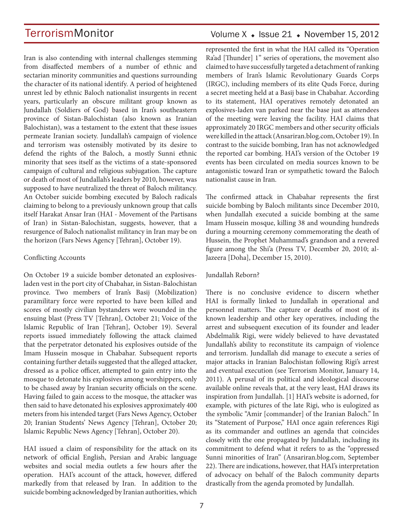Iran is also contending with internal challenges stemming from disaffected members of a number of ethnic and sectarian minority communities and questions surrounding the character of its national identify. A period of heightened unrest led by ethnic Baloch nationalist insurgents in recent years, particularly an obscure militant group known as Jundallah (Soldiers of God) based in Iran's southeastern province of Sistan-Balochistan (also known as Iranian Balochistan), was a testament to the extent that these issues permeate Iranian society. Jundallah's campaign of violence and terrorism was ostensibly motivated by its desire to defend the rights of the Baloch, a mostly Sunni ethnic minority that sees itself as the victims of a state-sponsored campaign of cultural and religious subjugation. The capture or death of most of Jundallah's leaders by 2010, however, was supposed to have neutralized the threat of Baloch militancy. An October suicide bombing executed by Baloch radicals claiming to belong to a previously unknown group that calls itself Harakat Ansar Iran (HAI - Movement of the Partisans of Iran) in Sistan-Balochistan, suggests, however, that a resurgence of Baloch nationalist militancy in Iran may be on the horizon (Fars News Agency [Tehran], October 19).

### Conflicting Accounts

On October 19 a suicide bomber detonated an explosivesladen vest in the port city of Chabahar, in Sistan-Balochistan province. Two members of Iran's Basij (Mobilization) paramilitary force were reported to have been killed and scores of mostly civilian bystanders were wounded in the ensuing blast (Press TV [Tehran], October 21; Voice of the Islamic Republic of Iran [Tehran], October 19). Several reports issued immediately following the attack claimed that the perpetrator detonated his explosives outside of the Imam Hussein mosque in Chabahar. Subsequent reports containing further details suggested that the alleged attacker, dressed as a police officer, attempted to gain entry into the mosque to detonate his explosives among worshippers, only to be chased away by Iranian security officials on the scene. Having failed to gain access to the mosque, the attacker was then said to have detonated his explosives approximately 400 meters from his intended target (Fars News Agency, October 20; Iranian Students' News Agency [Tehran], October 20; Islamic Republic News Agency [Tehran], October 20).

HAI issued a claim of responsibility for the attack on its network of official English, Persian and Arabic language websites and social media outlets a few hours after the operation. HAI's account of the attack, however, differed markedly from that released by Iran. In addition to the suicide bombing acknowledged by Iranian authorities, which

## Volume  $X \triangleleft$  Issue 21  $\triangleleft$  November 15, 2012

represented the first in what the HAI called its "Operation Ra'ad [Thunder] 1" series of operations, the movement also claimed to have successfully targeted a detachment of ranking members of Iran's Islamic Revolutionary Guards Corps (IRGC), including members of its elite Quds Force, during a secret meeting held at a Basij base in Chabahar. According to its statement, HAI operatives remotely detonated an explosives-laden van parked near the base just as attendees of the meeting were leaving the facility. HAI claims that approximately 20 IRGC members and other security officials were killed in the attack (Ansariran.blog.com, October 19). In contrast to the suicide bombing, Iran has not acknowledged the reported car bombing. HAI's version of the October 19 events has been circulated on media sources known to be antagonistic toward Iran or sympathetic toward the Baloch nationalist cause in Iran.

The confirmed attack in Chabahar represents the first suicide bombing by Baloch militants since December 2010, when Jundallah executed a suicide bombing at the same Imam Hussein mosque, killing 38 and wounding hundreds during a mourning ceremony commemorating the death of Hussein, the Prophet Muhammad's grandson and a revered figure among the Shi'a (Press TV, December 20, 2010; al-Jazeera [Doha], December 15, 2010).

### Jundallah Reborn?

There is no conclusive evidence to discern whether HAI is formally linked to Jundallah in operational and personnel matters. The capture or deaths of most of its known leadership and other key operatives, including the arrest and subsequent execution of its founder and leader Abdelmalik Rigi, were widely believed to have devastated Jundallah's ability to reconstitute its campaign of violence and terrorism. Jundallah did manage to execute a series of major attacks in Iranian Balochistan following Rigi's arrest and eventual execution (see Terrorism Monitor, January 14, 2011). A perusal of its political and ideological discourse available online reveals that, at the very least, HAI draws its inspiration from Jundallah. [1] HAI's website is adorned, for example, with pictures of the late Rigi, who is eulogized as the symbolic "Amir [commander] of the Iranian Baloch." In its "Statement of Purpose," HAI once again references Rigi as its commander and outlines an agenda that coincides closely with the one propagated by Jundallah, including its commitment to defend what it refers to as the "oppressed Sunni minorities of Iran" (Ansariran.blog.com, September 22). There are indications, however, that HAI's interpretation of advocacy on behalf of the Baloch community departs drastically from the agenda promoted by Jundallah.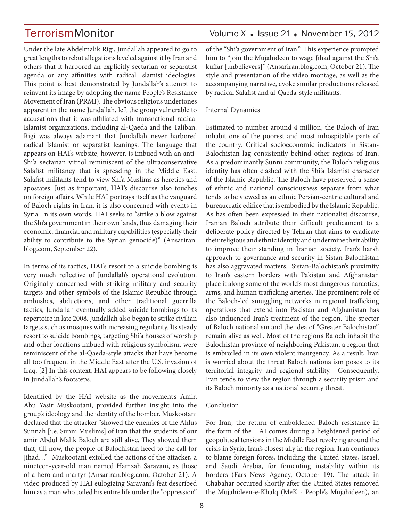Under the late Abdelmalik Rigi, Jundallah appeared to go to great lengths to rebut allegations leveled against it by Iran and others that it harbored an explicitly sectarian or separatist agenda or any affinities with radical Islamist ideologies. This point is best demonstrated by Jundallah's attempt to reinvent its image by adopting the name People's Resistance Movement of Iran (PRMI). The obvious religious undertones apparent in the name Jundallah, left the group vulnerable to accusations that it was affiliated with transnational radical Islamist organizations, including al-Qaeda and the Taliban. Rigi was always adamant that Jundallah never harbored radical Islamist or separatist leanings. The language that appears on HAI's website, however, is imbued with an anti-Shi'a sectarian vitriol reminiscent of the ultraconservative Salafist militancy that is spreading in the Middle East. Salafist militants tend to view Shi'a Muslims as heretics and apostates. Just as important, HAI's discourse also touches on foreign affairs. While HAI portrays itself as the vanguard of Baloch rights in Iran, it is also concerned with events in Syria. In its own words, HAI seeks to "strike a blow against the Shi'a government in their own lands, thus damaging their economic, financial and military capabilities (especially their ability to contribute to the Syrian genocide)" (Ansariran. blog.com, September 22).

In terms of its tactics, HAI's resort to a suicide bombing is very much reflective of Jundallah's operational evolution. Originally concerned with striking military and security targets and other symbols of the Islamic Republic through ambushes, abductions, and other traditional guerrilla tactics, Jundallah eventually added suicide bombings to its repertoire in late 2008. Jundallah also began to strike civilian targets such as mosques with increasing regularity. Its steady resort to suicide bombings, targeting Shi'a houses of worship and other locations imbued with religious symbolism, were reminiscent of the al-Qaeda-style attacks that have become all too frequent in the Middle East after the U.S. invasion of Iraq. [2] In this context, HAI appears to be following closely in Jundallah's footsteps.

Identified by the HAI website as the movement's Amir, Abu Yasir Muskootani, provided further insight into the group's ideology and the identity of the bomber. Muskootani declared that the attacker "showed the enemies of the Ahlus Sunnah [i.e. Sunni Muslims] of Iran that the students of our amir Abdul Malik Baloch are still alive. They showed them that, till now, the people of Balochistan heed to the call for Jihad…" Muskootani extolled the actions of the attacker, a nineteen-year-old man named Hamzah Saravani, as those of a hero and martyr (Ansariran.blog.com, October 21). A video produced by HAI eulogizing Saravani's feat described him as a man who toiled his entire life under the "oppression"

## TerrorismMonitor Volume X + Issue 21 + November 15, 2012

of the "Shi'a government of Iran." This experience prompted him to "join the Mujahideen to wage Jihad against the Shi'a kuffar [unbelievers]" (Ansariran.blog.com, October 21). The style and presentation of the video montage, as well as the accompanying narrative, evoke similar productions released by radical Salafist and al-Qaeda-style militants.

### Internal Dynamics

Estimated to number around 4 million, the Baloch of Iran inhabit one of the poorest and most inhospitable parts of the country. Critical socioeconomic indicators in Sistan-Balochistan lag consistently behind other regions of Iran. As a predominantly Sunni community, the Baloch religious identity has often clashed with the Shi'a Islamist character of the Islamic Republic. The Baloch have preserved a sense of ethnic and national consciousness separate from what tends to be viewed as an ethnic Persian-centric cultural and bureaucratic edifice that is embodied by the Islamic Republic. As has often been expressed in their nationalist discourse, Iranian Baloch attribute their difficult predicament to a deliberate policy directed by Tehran that aims to eradicate their religious and ethnic identity and undermine their ability to improve their standing in Iranian society. Iran's harsh approach to governance and security in Sistan-Balochistan has also aggravated matters. Sistan-Balochistan's proximity to Iran's eastern borders with Pakistan and Afghanistan place it along some of the world's most dangerous narcotics, arms, and human trafficking arteries. The prominent role of the Baloch-led smuggling networks in regional trafficking operations that extend into Pakistan and Afghanistan has also influenced Iran's treatment of the region. The specter of Baloch nationalism and the idea of "Greater Balochistan" remain alive as well. Most of the region's Baloch inhabit the Balochistan province of neighboring Pakistan, a region that is embroiled in its own violent insurgency. As a result, Iran is worried about the threat Baloch nationalism poses to its territorial integrity and regional stability. Consequently, Iran tends to view the region through a security prism and its Baloch minority as a national security threat.

### Conclusion

For Iran, the return of emboldened Baloch resistance in the form of the HAI comes during a heightened period of geopolitical tensions in the Middle East revolving around the crisis in Syria, Iran's closest ally in the region. Iran continues to blame foreign forces, including the United States, Israel, and Saudi Arabia, for fomenting instability within its borders (Fars News Agency, October 19). The attack in Chabahar occurred shortly after the United States removed the Mujahideen-e-Khalq (MeK - People's Mujahideen), an